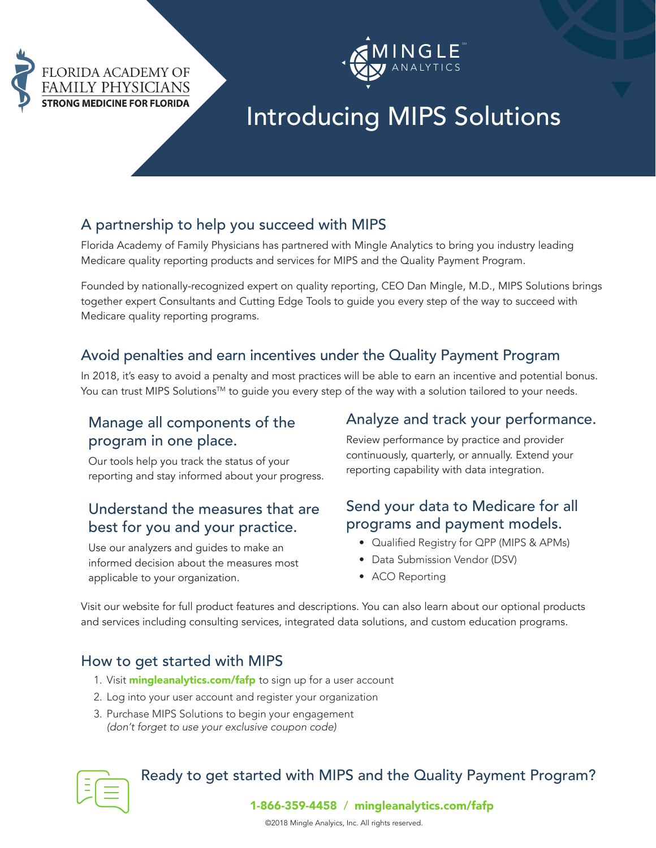



# Introducing MIPS Solutions

#### A partnership to help you succeed with MIPS

Florida Academy of Family Physicians has partnered with Mingle Analytics to bring you industry leading Medicare quality reporting products and services for MIPS and the Quality Payment Program.

Founded by nationally-recognized expert on quality reporting, CEO Dan Mingle, M.D., MIPS Solutions brings together expert Consultants and Cutting Edge Tools to guide you every step of the way to succeed with Medicare quality reporting programs.

#### Avoid penalties and earn incentives under the Quality Payment Program

In 2018, it's easy to avoid a penalty and most practices will be able to earn an incentive and potential bonus. You can trust MIPS Solutions™ to guide you every step of the way with a solution tailored to your needs.

#### Manage all components of the program in one place.

Our tools help you track the status of your reporting and stay informed about your progress.

#### Understand the measures that are best for you and your practice.

Use our analyzers and guides to make an informed decision about the measures most applicable to your organization.

#### Analyze and track your performance.

Review performance by practice and provider continuously, quarterly, or annually. Extend your reporting capability with data integration.

#### Send your data to Medicare for all programs and payment models.

- Qualified Registry for QPP (MIPS & APMs)
- Data Submission Vendor (DSV)
- ACO Reporting

Visit our website for full product features and descriptions. You can also learn about our optional products and services including consulting services, integrated data solutions, and custom education programs.

#### How to get started with MIPS

- 1. Visit [mingleanalytics.com/f](https://mingleanalytics.com/fafp)afp to sign up for a user account
- 2. Log into your user account and register your organization
- 3. Purchase MIPS Solutions to begin your engagement *(don't forget to use your exclusive coupon code)*



### Ready to get started with MIPS and the Quality Payment Program?

1-866-359-4458 / [mingleanalytics.com/](https://mingleanalytics.com/fafp)fafp